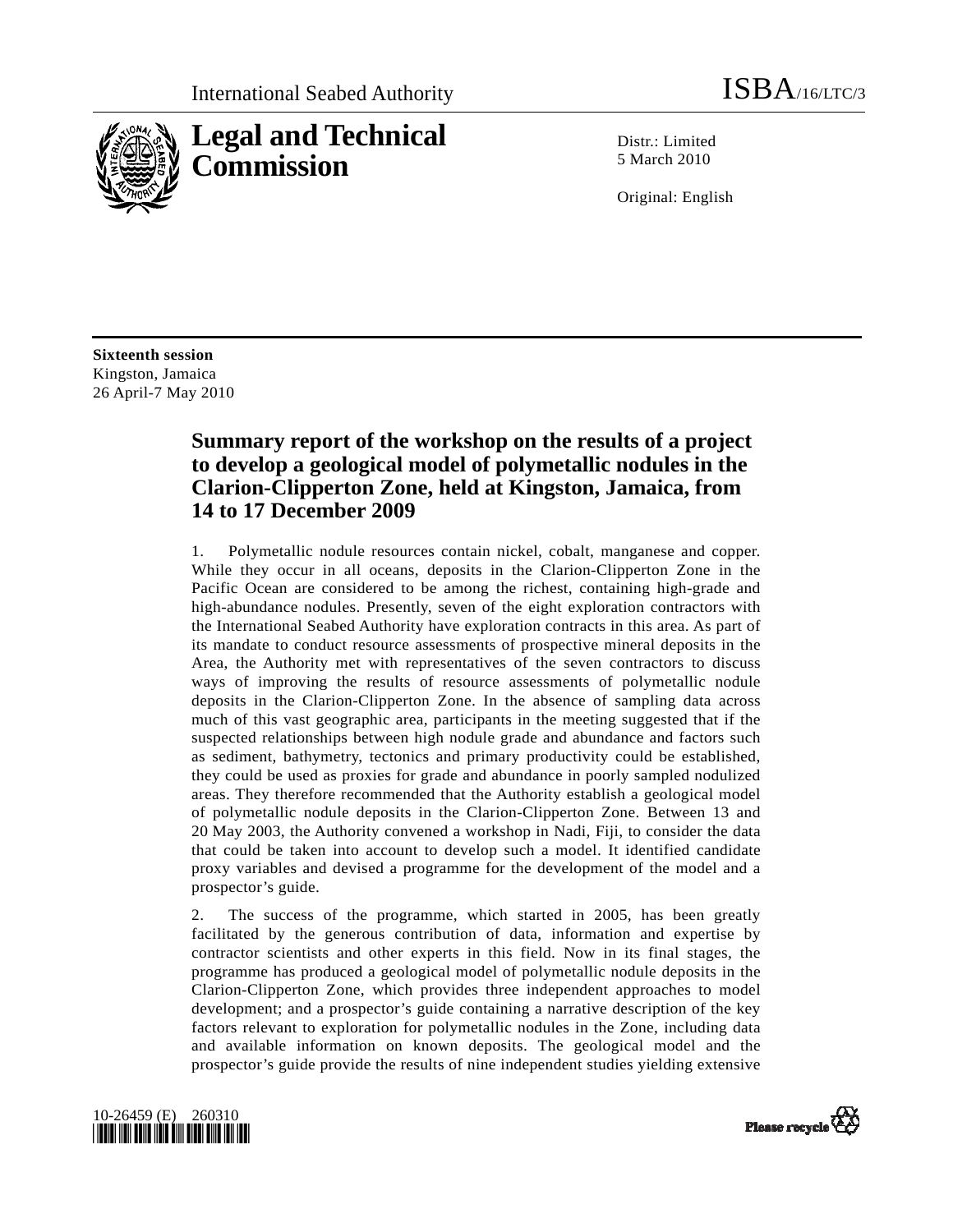

Distr · Limited 5 March 2010

Original: English

**Sixteenth session**  Kingston, Jamaica 26 April-7 May 2010

# **Summary report of the workshop on the results of a project to develop a geological model of polymetallic nodules in the Clarion-Clipperton Zone, held at Kingston, Jamaica, from 14 to 17 December 2009**

1. Polymetallic nodule resources contain nickel, cobalt, manganese and copper. While they occur in all oceans, deposits in the Clarion-Clipperton Zone in the Pacific Ocean are considered to be among the richest, containing high-grade and high-abundance nodules. Presently, seven of the eight exploration contractors with the International Seabed Authority have exploration contracts in this area. As part of its mandate to conduct resource assessments of prospective mineral deposits in the Area, the Authority met with representatives of the seven contractors to discuss ways of improving the results of resource assessments of polymetallic nodule deposits in the Clarion-Clipperton Zone. In the absence of sampling data across much of this vast geographic area, participants in the meeting suggested that if the suspected relationships between high nodule grade and abundance and factors such as sediment, bathymetry, tectonics and primary productivity could be established, they could be used as proxies for grade and abundance in poorly sampled nodulized areas. They therefore recommended that the Authority establish a geological model of polymetallic nodule deposits in the Clarion-Clipperton Zone. Between 13 and 20 May 2003, the Authority convened a workshop in Nadi, Fiji, to consider the data that could be taken into account to develop such a model. It identified candidate proxy variables and devised a programme for the development of the model and a prospector's guide.

2. The success of the programme, which started in 2005, has been greatly facilitated by the generous contribution of data, information and expertise by contractor scientists and other experts in this field. Now in its final stages, the programme has produced a geological model of polymetallic nodule deposits in the Clarion-Clipperton Zone, which provides three independent approaches to model development; and a prospector's guide containing a narrative description of the key factors relevant to exploration for polymetallic nodules in the Zone, including data and available information on known deposits. The geological model and the prospector's guide provide the results of nine independent studies yielding extensive



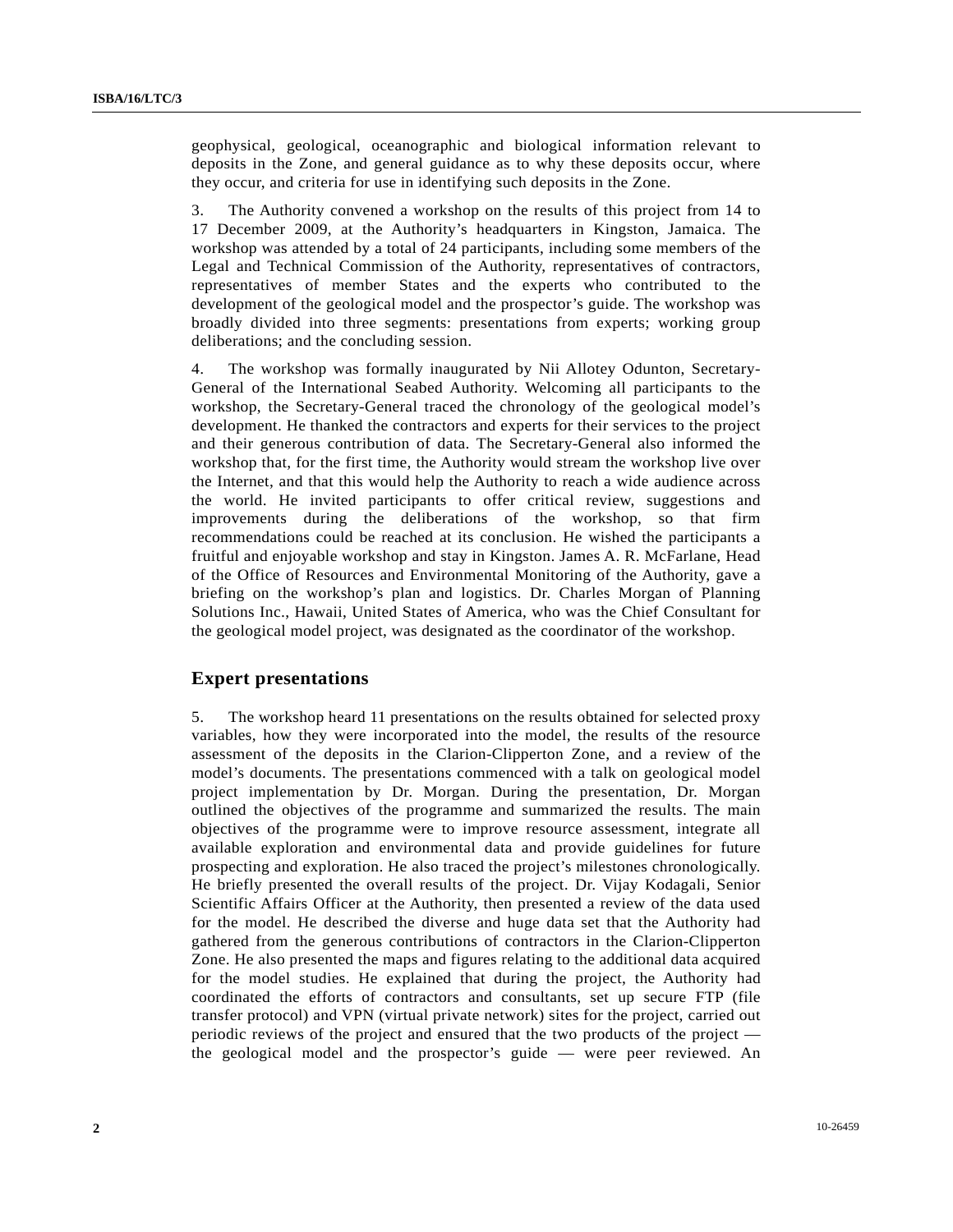geophysical, geological, oceanographic and biological information relevant to deposits in the Zone, and general guidance as to why these deposits occur, where they occur, and criteria for use in identifying such deposits in the Zone.

3. The Authority convened a workshop on the results of this project from 14 to 17 December 2009, at the Authority's headquarters in Kingston, Jamaica. The workshop was attended by a total of 24 participants, including some members of the Legal and Technical Commission of the Authority, representatives of contractors, representatives of member States and the experts who contributed to the development of the geological model and the prospector's guide. The workshop was broadly divided into three segments: presentations from experts; working group deliberations; and the concluding session.

4. The workshop was formally inaugurated by Nii Allotey Odunton, Secretary-General of the International Seabed Authority. Welcoming all participants to the workshop, the Secretary-General traced the chronology of the geological model's development. He thanked the contractors and experts for their services to the project and their generous contribution of data. The Secretary-General also informed the workshop that, for the first time, the Authority would stream the workshop live over the Internet, and that this would help the Authority to reach a wide audience across the world. He invited participants to offer critical review, suggestions and improvements during the deliberations of the workshop, so that firm recommendations could be reached at its conclusion. He wished the participants a fruitful and enjoyable workshop and stay in Kingston. James A. R. McFarlane, Head of the Office of Resources and Environmental Monitoring of the Authority, gave a briefing on the workshop's plan and logistics. Dr. Charles Morgan of Planning Solutions Inc., Hawaii, United States of America, who was the Chief Consultant for the geological model project, was designated as the coordinator of the workshop.

# **Expert presentations**

5. The workshop heard 11 presentations on the results obtained for selected proxy variables, how they were incorporated into the model, the results of the resource assessment of the deposits in the Clarion-Clipperton Zone, and a review of the model's documents. The presentations commenced with a talk on geological model project implementation by Dr. Morgan. During the presentation, Dr. Morgan outlined the objectives of the programme and summarized the results. The main objectives of the programme were to improve resource assessment, integrate all available exploration and environmental data and provide guidelines for future prospecting and exploration. He also traced the project's milestones chronologically. He briefly presented the overall results of the project. Dr. Vijay Kodagali, Senior Scientific Affairs Officer at the Authority, then presented a review of the data used for the model. He described the diverse and huge data set that the Authority had gathered from the generous contributions of contractors in the Clarion-Clipperton Zone. He also presented the maps and figures relating to the additional data acquired for the model studies. He explained that during the project, the Authority had coordinated the efforts of contractors and consultants, set up secure FTP (file transfer protocol) and VPN (virtual private network) sites for the project, carried out periodic reviews of the project and ensured that the two products of the project the geological model and the prospector's guide — were peer reviewed. An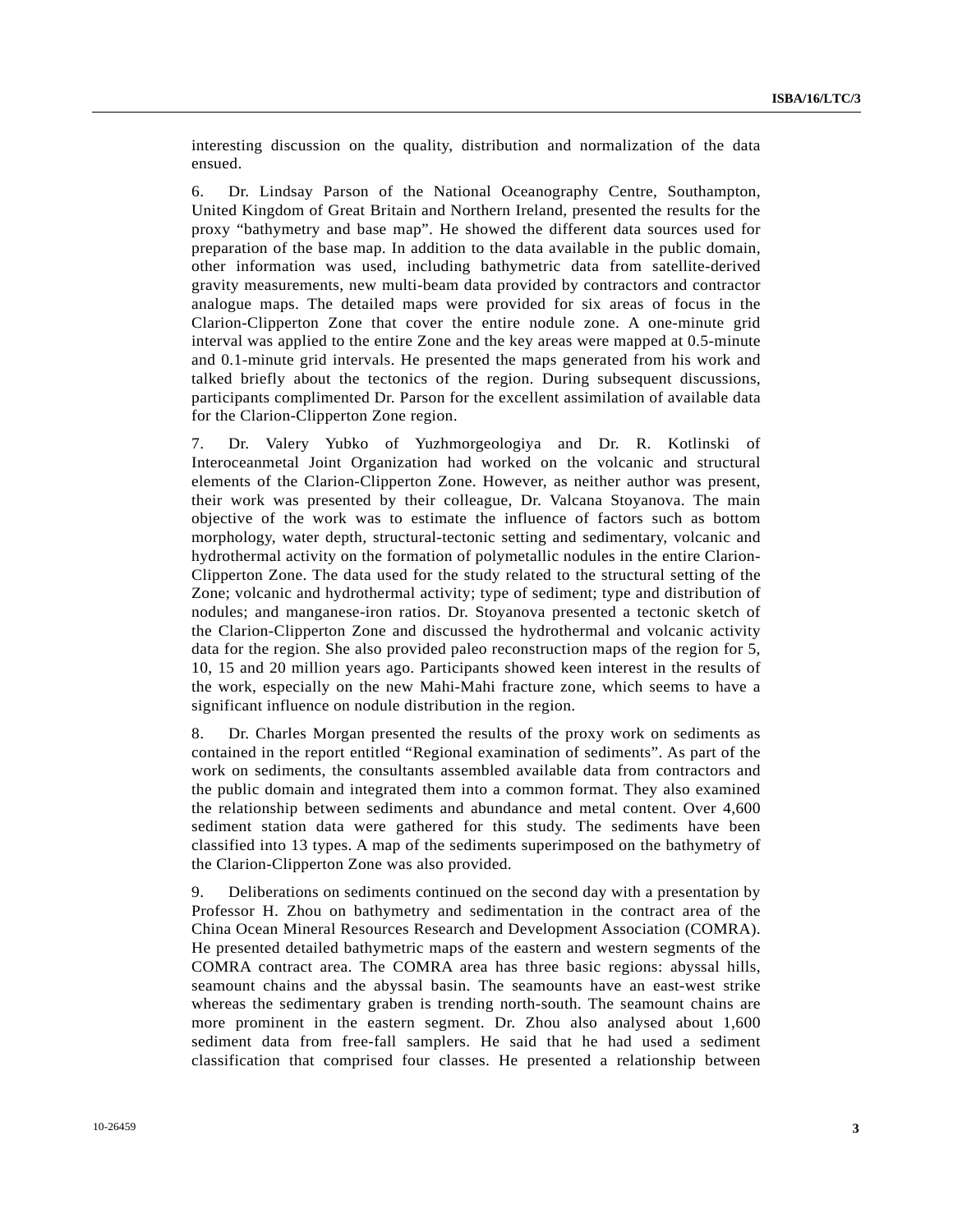interesting discussion on the quality, distribution and normalization of the data ensued.

6. Dr. Lindsay Parson of the National Oceanography Centre, Southampton, United Kingdom of Great Britain and Northern Ireland, presented the results for the proxy "bathymetry and base map". He showed the different data sources used for preparation of the base map. In addition to the data available in the public domain, other information was used, including bathymetric data from satellite-derived gravity measurements, new multi-beam data provided by contractors and contractor analogue maps. The detailed maps were provided for six areas of focus in the Clarion-Clipperton Zone that cover the entire nodule zone. A one-minute grid interval was applied to the entire Zone and the key areas were mapped at 0.5-minute and 0.1-minute grid intervals. He presented the maps generated from his work and talked briefly about the tectonics of the region. During subsequent discussions, participants complimented Dr. Parson for the excellent assimilation of available data for the Clarion-Clipperton Zone region.

7. Dr. Valery Yubko of Yuzhmorgeologiya and Dr. R. Kotlinski of Interoceanmetal Joint Organization had worked on the volcanic and structural elements of the Clarion-Clipperton Zone. However, as neither author was present, their work was presented by their colleague, Dr. Valcana Stoyanova. The main objective of the work was to estimate the influence of factors such as bottom morphology, water depth, structural-tectonic setting and sedimentary, volcanic and hydrothermal activity on the formation of polymetallic nodules in the entire Clarion-Clipperton Zone. The data used for the study related to the structural setting of the Zone; volcanic and hydrothermal activity; type of sediment; type and distribution of nodules; and manganese-iron ratios. Dr. Stoyanova presented a tectonic sketch of the Clarion-Clipperton Zone and discussed the hydrothermal and volcanic activity data for the region. She also provided paleo reconstruction maps of the region for 5, 10, 15 and 20 million years ago. Participants showed keen interest in the results of the work, especially on the new Mahi-Mahi fracture zone, which seems to have a significant influence on nodule distribution in the region.

8. Dr. Charles Morgan presented the results of the proxy work on sediments as contained in the report entitled "Regional examination of sediments". As part of the work on sediments, the consultants assembled available data from contractors and the public domain and integrated them into a common format. They also examined the relationship between sediments and abundance and metal content. Over 4,600 sediment station data were gathered for this study. The sediments have been classified into 13 types. A map of the sediments superimposed on the bathymetry of the Clarion-Clipperton Zone was also provided.

9. Deliberations on sediments continued on the second day with a presentation by Professor H. Zhou on bathymetry and sedimentation in the contract area of the China Ocean Mineral Resources Research and Development Association (COMRA). He presented detailed bathymetric maps of the eastern and western segments of the COMRA contract area. The COMRA area has three basic regions: abyssal hills, seamount chains and the abyssal basin. The seamounts have an east-west strike whereas the sedimentary graben is trending north-south. The seamount chains are more prominent in the eastern segment. Dr. Zhou also analysed about 1,600 sediment data from free-fall samplers. He said that he had used a sediment classification that comprised four classes. He presented a relationship between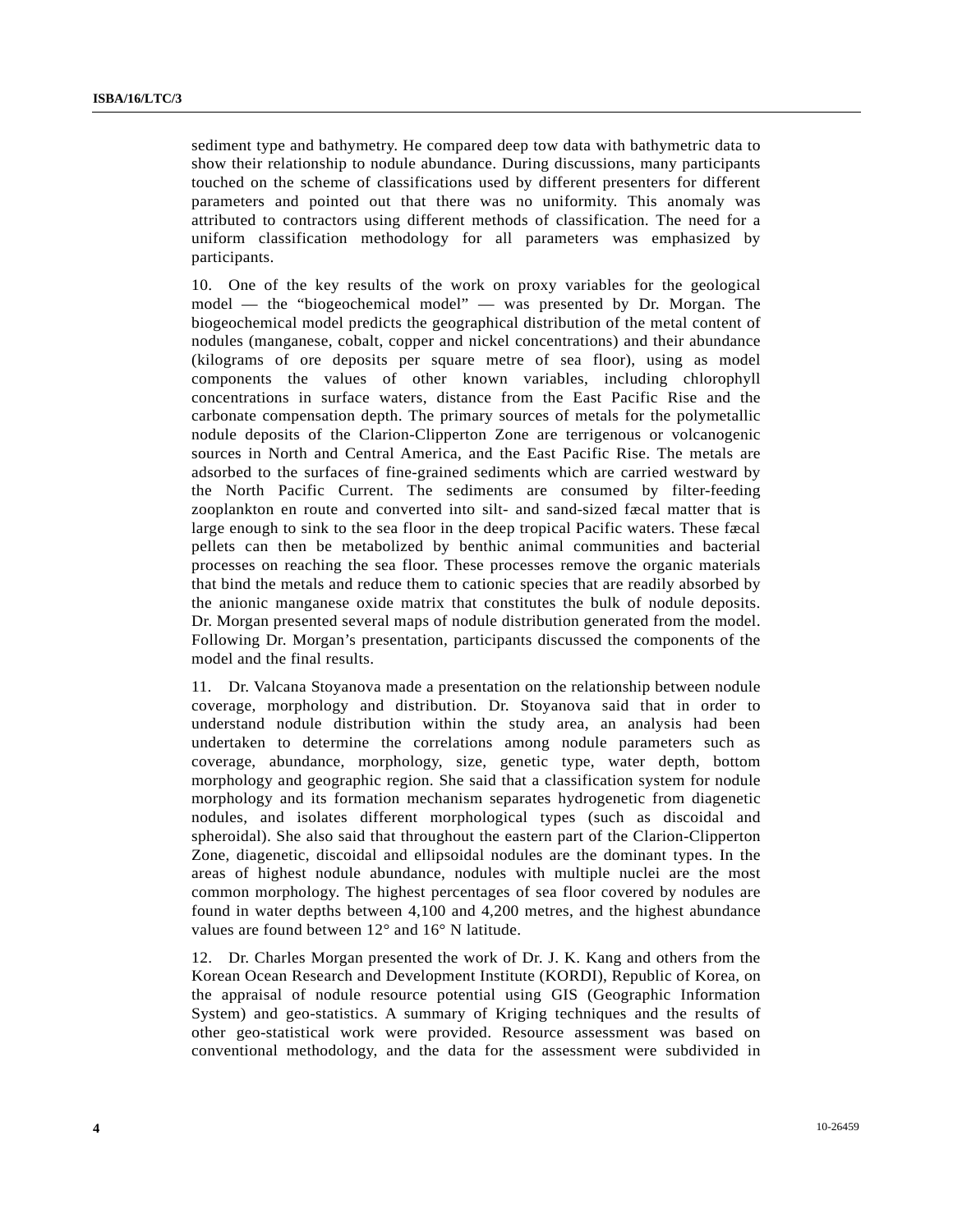sediment type and bathymetry. He compared deep tow data with bathymetric data to show their relationship to nodule abundance. During discussions, many participants touched on the scheme of classifications used by different presenters for different parameters and pointed out that there was no uniformity. This anomaly was attributed to contractors using different methods of classification. The need for a uniform classification methodology for all parameters was emphasized by participants.

10. One of the key results of the work on proxy variables for the geological model — the "biogeochemical model" — was presented by Dr. Morgan. The biogeochemical model predicts the geographical distribution of the metal content of nodules (manganese, cobalt, copper and nickel concentrations) and their abundance (kilograms of ore deposits per square metre of sea floor), using as model components the values of other known variables, including chlorophyll concentrations in surface waters, distance from the East Pacific Rise and the carbonate compensation depth. The primary sources of metals for the polymetallic nodule deposits of the Clarion-Clipperton Zone are terrigenous or volcanogenic sources in North and Central America, and the East Pacific Rise. The metals are adsorbed to the surfaces of fine-grained sediments which are carried westward by the North Pacific Current. The sediments are consumed by filter-feeding zooplankton en route and converted into silt- and sand-sized fæcal matter that is large enough to sink to the sea floor in the deep tropical Pacific waters. These fæcal pellets can then be metabolized by benthic animal communities and bacterial processes on reaching the sea floor. These processes remove the organic materials that bind the metals and reduce them to cationic species that are readily absorbed by the anionic manganese oxide matrix that constitutes the bulk of nodule deposits. Dr. Morgan presented several maps of nodule distribution generated from the model. Following Dr. Morgan's presentation, participants discussed the components of the model and the final results.

11. Dr. Valcana Stoyanova made a presentation on the relationship between nodule coverage, morphology and distribution. Dr. Stoyanova said that in order to understand nodule distribution within the study area, an analysis had been undertaken to determine the correlations among nodule parameters such as coverage, abundance, morphology, size, genetic type, water depth, bottom morphology and geographic region. She said that a classification system for nodule morphology and its formation mechanism separates hydrogenetic from diagenetic nodules, and isolates different morphological types (such as discoidal and spheroidal). She also said that throughout the eastern part of the Clarion-Clipperton Zone, diagenetic, discoidal and ellipsoidal nodules are the dominant types. In the areas of highest nodule abundance, nodules with multiple nuclei are the most common morphology. The highest percentages of sea floor covered by nodules are found in water depths between 4,100 and 4,200 metres, and the highest abundance values are found between 12° and 16° N latitude.

12. Dr. Charles Morgan presented the work of Dr. J. K. Kang and others from the Korean Ocean Research and Development Institute (KORDI), Republic of Korea, on the appraisal of nodule resource potential using GIS (Geographic Information System) and geo-statistics. A summary of Kriging techniques and the results of other geo-statistical work were provided. Resource assessment was based on conventional methodology, and the data for the assessment were subdivided in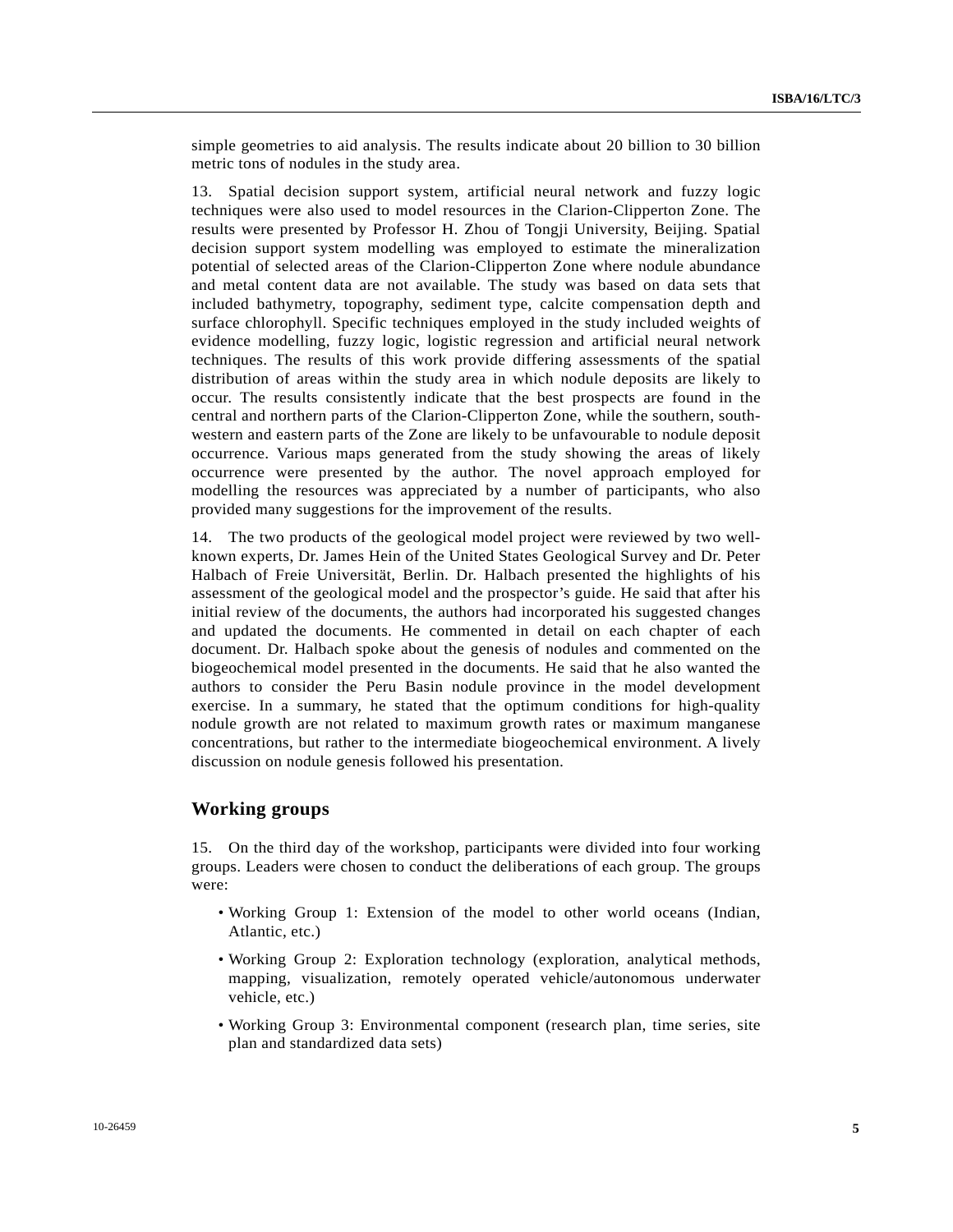simple geometries to aid analysis. The results indicate about 20 billion to 30 billion metric tons of nodules in the study area.

13. Spatial decision support system, artificial neural network and fuzzy logic techniques were also used to model resources in the Clarion-Clipperton Zone. The results were presented by Professor H. Zhou of Tongji University, Beijing. Spatial decision support system modelling was employed to estimate the mineralization potential of selected areas of the Clarion-Clipperton Zone where nodule abundance and metal content data are not available. The study was based on data sets that included bathymetry, topography, sediment type, calcite compensation depth and surface chlorophyll. Specific techniques employed in the study included weights of evidence modelling, fuzzy logic, logistic regression and artificial neural network techniques. The results of this work provide differing assessments of the spatial distribution of areas within the study area in which nodule deposits are likely to occur. The results consistently indicate that the best prospects are found in the central and northern parts of the Clarion-Clipperton Zone, while the southern, southwestern and eastern parts of the Zone are likely to be unfavourable to nodule deposit occurrence. Various maps generated from the study showing the areas of likely occurrence were presented by the author. The novel approach employed for modelling the resources was appreciated by a number of participants, who also provided many suggestions for the improvement of the results.

14. The two products of the geological model project were reviewed by two wellknown experts, Dr. James Hein of the United States Geological Survey and Dr. Peter Halbach of Freie Universität, Berlin. Dr. Halbach presented the highlights of his assessment of the geological model and the prospector's guide. He said that after his initial review of the documents, the authors had incorporated his suggested changes and updated the documents. He commented in detail on each chapter of each document. Dr. Halbach spoke about the genesis of nodules and commented on the biogeochemical model presented in the documents. He said that he also wanted the authors to consider the Peru Basin nodule province in the model development exercise. In a summary, he stated that the optimum conditions for high-quality nodule growth are not related to maximum growth rates or maximum manganese concentrations, but rather to the intermediate biogeochemical environment. A lively discussion on nodule genesis followed his presentation.

# **Working groups**

15. On the third day of the workshop, participants were divided into four working groups. Leaders were chosen to conduct the deliberations of each group. The groups were:

- Working Group 1: Extension of the model to other world oceans (Indian, Atlantic, etc.)
- Working Group 2: Exploration technology (exploration, analytical methods, mapping, visualization, remotely operated vehicle/autonomous underwater vehicle, etc.)
- Working Group 3: Environmental component (research plan, time series, site plan and standardized data sets)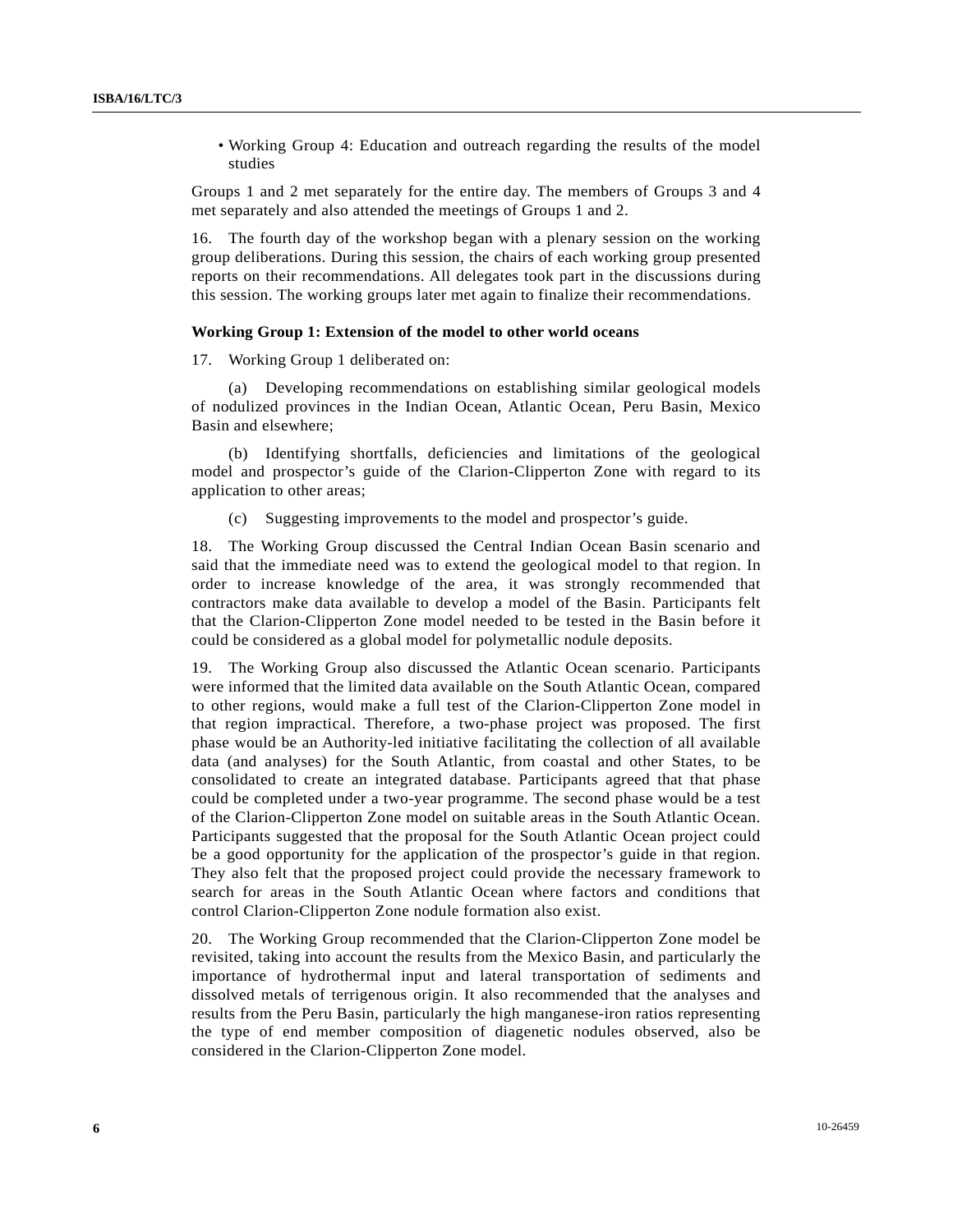• Working Group 4: Education and outreach regarding the results of the model studies

Groups 1 and 2 met separately for the entire day. The members of Groups 3 and 4 met separately and also attended the meetings of Groups 1 and 2.

16. The fourth day of the workshop began with a plenary session on the working group deliberations. During this session, the chairs of each working group presented reports on their recommendations. All delegates took part in the discussions during this session. The working groups later met again to finalize their recommendations.

## **Working Group 1: Extension of the model to other world oceans**

17. Working Group 1 deliberated on:

 (a) Developing recommendations on establishing similar geological models of nodulized provinces in the Indian Ocean, Atlantic Ocean, Peru Basin, Mexico Basin and elsewhere;

 (b) Identifying shortfalls, deficiencies and limitations of the geological model and prospector's guide of the Clarion-Clipperton Zone with regard to its application to other areas;

(c) Suggesting improvements to the model and prospector's guide.

18. The Working Group discussed the Central Indian Ocean Basin scenario and said that the immediate need was to extend the geological model to that region. In order to increase knowledge of the area, it was strongly recommended that contractors make data available to develop a model of the Basin. Participants felt that the Clarion-Clipperton Zone model needed to be tested in the Basin before it could be considered as a global model for polymetallic nodule deposits.

19. The Working Group also discussed the Atlantic Ocean scenario. Participants were informed that the limited data available on the South Atlantic Ocean, compared to other regions, would make a full test of the Clarion-Clipperton Zone model in that region impractical. Therefore, a two-phase project was proposed. The first phase would be an Authority-led initiative facilitating the collection of all available data (and analyses) for the South Atlantic, from coastal and other States, to be consolidated to create an integrated database. Participants agreed that that phase could be completed under a two-year programme. The second phase would be a test of the Clarion-Clipperton Zone model on suitable areas in the South Atlantic Ocean. Participants suggested that the proposal for the South Atlantic Ocean project could be a good opportunity for the application of the prospector's guide in that region. They also felt that the proposed project could provide the necessary framework to search for areas in the South Atlantic Ocean where factors and conditions that control Clarion-Clipperton Zone nodule formation also exist.

20. The Working Group recommended that the Clarion-Clipperton Zone model be revisited, taking into account the results from the Mexico Basin, and particularly the importance of hydrothermal input and lateral transportation of sediments and dissolved metals of terrigenous origin. It also recommended that the analyses and results from the Peru Basin, particularly the high manganese-iron ratios representing the type of end member composition of diagenetic nodules observed, also be considered in the Clarion-Clipperton Zone model.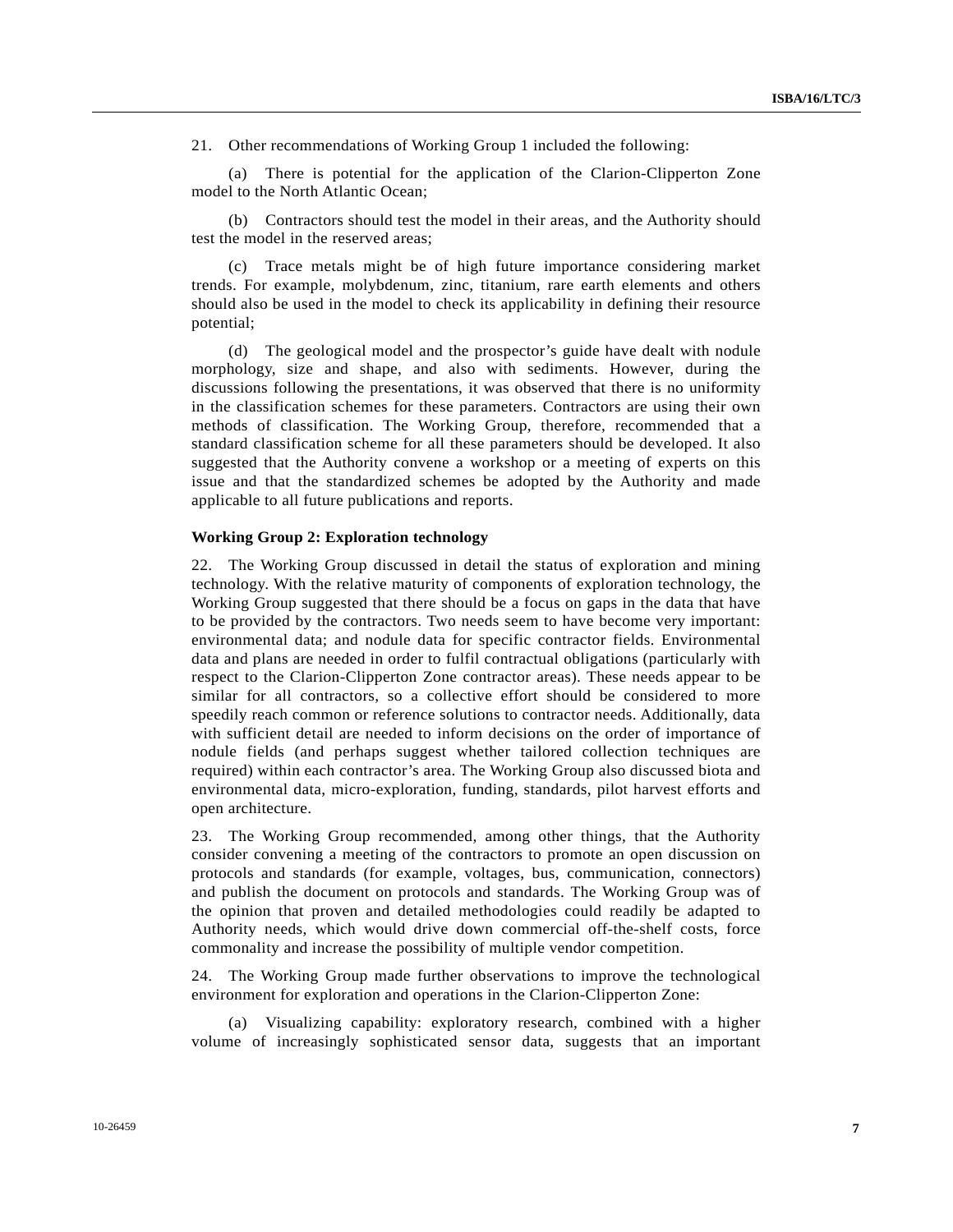21. Other recommendations of Working Group 1 included the following:

 (a) There is potential for the application of the Clarion-Clipperton Zone model to the North Atlantic Ocean;

 (b) Contractors should test the model in their areas, and the Authority should test the model in the reserved areas;

 (c) Trace metals might be of high future importance considering market trends. For example, molybdenum, zinc, titanium, rare earth elements and others should also be used in the model to check its applicability in defining their resource potential;

 (d) The geological model and the prospector's guide have dealt with nodule morphology, size and shape, and also with sediments. However, during the discussions following the presentations, it was observed that there is no uniformity in the classification schemes for these parameters. Contractors are using their own methods of classification. The Working Group, therefore, recommended that a standard classification scheme for all these parameters should be developed. It also suggested that the Authority convene a workshop or a meeting of experts on this issue and that the standardized schemes be adopted by the Authority and made applicable to all future publications and reports.

#### **Working Group 2: Exploration technology**

22. The Working Group discussed in detail the status of exploration and mining technology. With the relative maturity of components of exploration technology, the Working Group suggested that there should be a focus on gaps in the data that have to be provided by the contractors. Two needs seem to have become very important: environmental data; and nodule data for specific contractor fields. Environmental data and plans are needed in order to fulfil contractual obligations (particularly with respect to the Clarion-Clipperton Zone contractor areas). These needs appear to be similar for all contractors, so a collective effort should be considered to more speedily reach common or reference solutions to contractor needs. Additionally, data with sufficient detail are needed to inform decisions on the order of importance of nodule fields (and perhaps suggest whether tailored collection techniques are required) within each contractor's area. The Working Group also discussed biota and environmental data, micro-exploration, funding, standards, pilot harvest efforts and open architecture.

23. The Working Group recommended, among other things, that the Authority consider convening a meeting of the contractors to promote an open discussion on protocols and standards (for example, voltages, bus, communication, connectors) and publish the document on protocols and standards. The Working Group was of the opinion that proven and detailed methodologies could readily be adapted to Authority needs, which would drive down commercial off-the-shelf costs, force commonality and increase the possibility of multiple vendor competition.

24. The Working Group made further observations to improve the technological environment for exploration and operations in the Clarion-Clipperton Zone:

 (a) Visualizing capability: exploratory research, combined with a higher volume of increasingly sophisticated sensor data, suggests that an important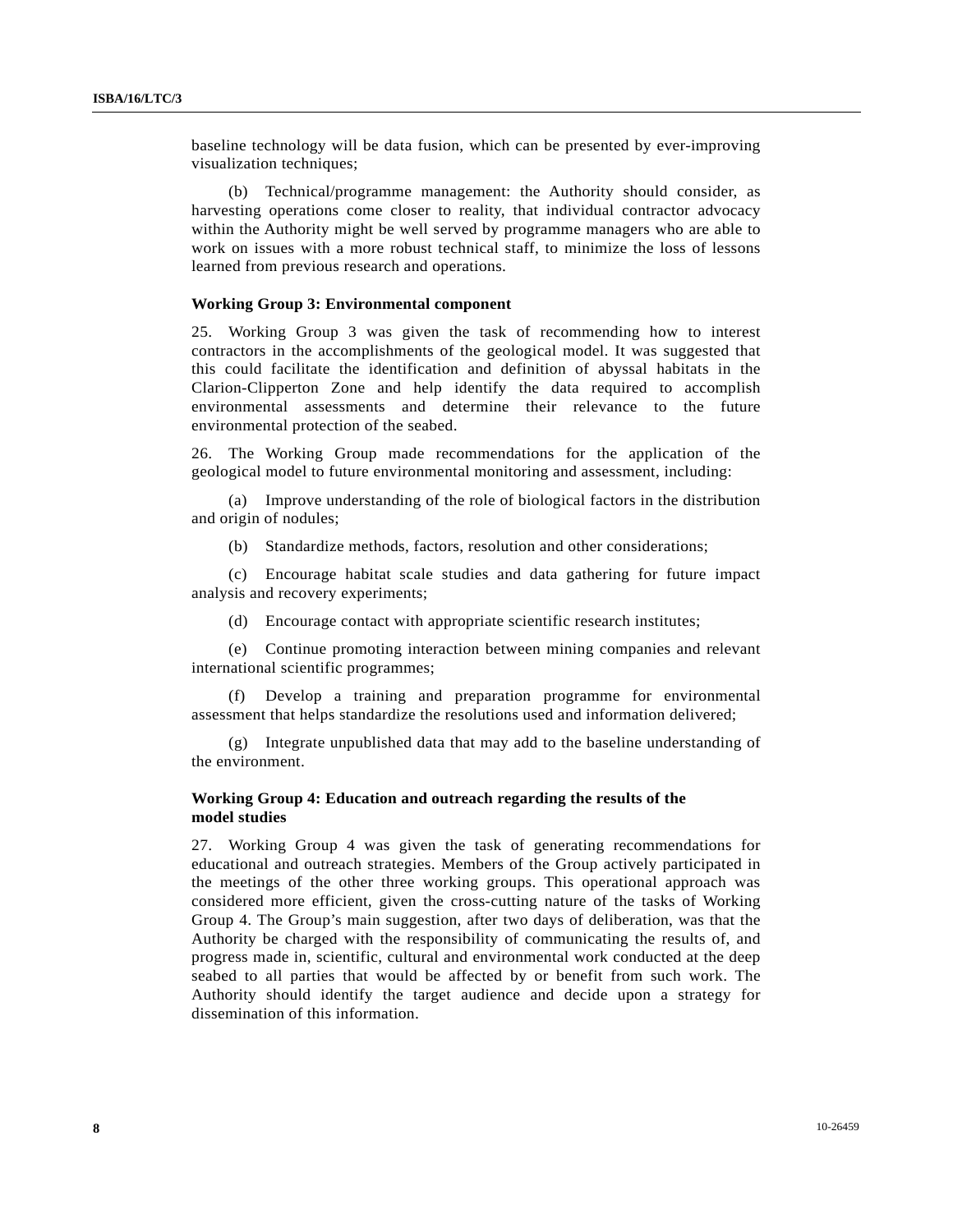baseline technology will be data fusion, which can be presented by ever-improving visualization techniques;

 (b) Technical/programme management: the Authority should consider, as harvesting operations come closer to reality, that individual contractor advocacy within the Authority might be well served by programme managers who are able to work on issues with a more robust technical staff, to minimize the loss of lessons learned from previous research and operations.

## **Working Group 3: Environmental component**

25. Working Group 3 was given the task of recommending how to interest contractors in the accomplishments of the geological model. It was suggested that this could facilitate the identification and definition of abyssal habitats in the Clarion-Clipperton Zone and help identify the data required to accomplish environmental assessments and determine their relevance to the future environmental protection of the seabed.

26. The Working Group made recommendations for the application of the geological model to future environmental monitoring and assessment, including:

 (a) Improve understanding of the role of biological factors in the distribution and origin of nodules;

(b) Standardize methods, factors, resolution and other considerations;

 (c) Encourage habitat scale studies and data gathering for future impact analysis and recovery experiments;

(d) Encourage contact with appropriate scientific research institutes;

 (e) Continue promoting interaction between mining companies and relevant international scientific programmes;

 (f) Develop a training and preparation programme for environmental assessment that helps standardize the resolutions used and information delivered;

 (g) Integrate unpublished data that may add to the baseline understanding of the environment.

# **Working Group 4: Education and outreach regarding the results of the model studies**

27. Working Group 4 was given the task of generating recommendations for educational and outreach strategies. Members of the Group actively participated in the meetings of the other three working groups. This operational approach was considered more efficient, given the cross-cutting nature of the tasks of Working Group 4. The Group's main suggestion, after two days of deliberation, was that the Authority be charged with the responsibility of communicating the results of, and progress made in, scientific, cultural and environmental work conducted at the deep seabed to all parties that would be affected by or benefit from such work. The Authority should identify the target audience and decide upon a strategy for dissemination of this information.